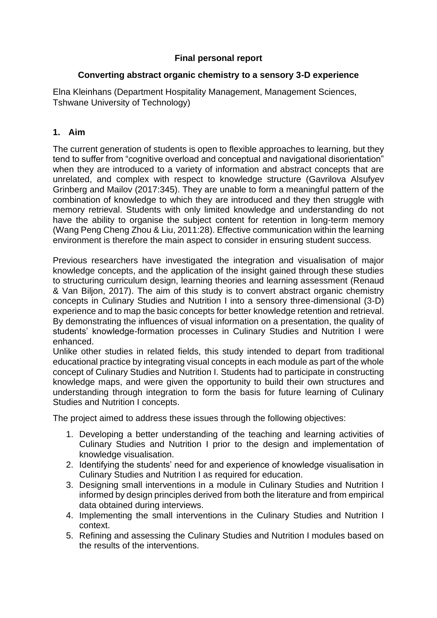## **Final personal report**

#### **Converting abstract organic chemistry to a sensory 3-D experience**

Elna Kleinhans (Department Hospitality Management, Management Sciences, Tshwane University of Technology)

#### **1. Aim**

The current generation of students is open to flexible approaches to learning, but they tend to suffer from "cognitive overload and conceptual and navigational disorientation" when they are introduced to a variety of information and abstract concepts that are unrelated, and complex with respect to knowledge structure [\(Gavrilova Alsufyev](#page-8-0)  Grinberg and Mailov (2017:345). They are unable to form a meaningful pattern of the combination of knowledge to which they are introduced and they then struggle with memory retrieval. Students with only limited knowledge and understanding do not have the ability to organise the subject content for retention in long-term memory [\(Wang Peng Cheng Zhou & Liu, 2011:28\)](#page-9-0). Effective communication within the learning environment is therefore the main aspect to consider in ensuring student success.

Previous researchers have investigated the integration and visualisation of major knowledge concepts, and the application of the insight gained through these studies to structuring curriculum design, learning theories and learning assessment [\(Renaud](#page-9-1)  [& Van Biljon, 2017\)](#page-9-1). The aim of this study is to convert abstract organic chemistry concepts in Culinary Studies and Nutrition I into a sensory three-dimensional (3-D) experience and to map the basic concepts for better knowledge retention and retrieval. By demonstrating the influences of visual information on a presentation, the quality of students' knowledge-formation processes in Culinary Studies and Nutrition I were enhanced.

Unlike other studies in related fields, this study intended to depart from traditional educational practice by integrating visual concepts in each module as part of the whole concept of Culinary Studies and Nutrition I. Students had to participate in constructing knowledge maps, and were given the opportunity to build their own structures and understanding through integration to form the basis for future learning of Culinary Studies and Nutrition I concepts.

The project aimed to address these issues through the following objectives:

- 1. Developing a better understanding of the teaching and learning activities of Culinary Studies and Nutrition I prior to the design and implementation of knowledge visualisation.
- 2. Identifying the students' need for and experience of knowledge visualisation in Culinary Studies and Nutrition I as required for education.
- 3. Designing small interventions in a module in Culinary Studies and Nutrition I informed by design principles derived from both the literature and from empirical data obtained during interviews.
- 4. Implementing the small interventions in the Culinary Studies and Nutrition I context.
- 5. Refining and assessing the Culinary Studies and Nutrition I modules based on the results of the interventions.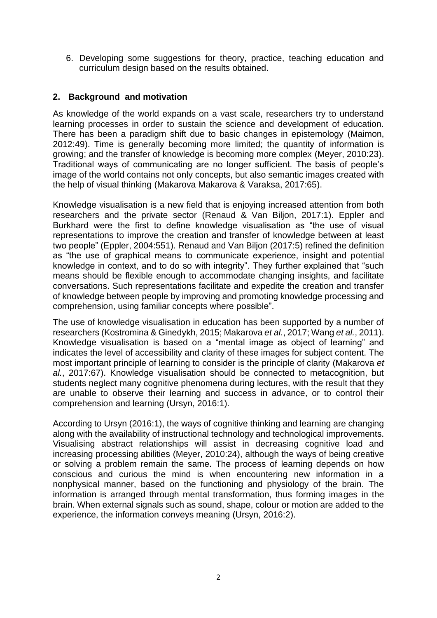6. Developing some suggestions for theory, practice, teaching education and curriculum design based on the results obtained.

## **2. Background and motivation**

As knowledge of the world expands on a vast scale, researchers try to understand learning processes in order to sustain the science and development of education. There has been a paradigm shift due to basic changes in epistemology [\(Maimon,](#page-9-2)  [2012:49\)](#page-9-2). Time is generally becoming more limited; the quantity of information is growing; and the transfer of knowledge is becoming more complex [\(Meyer, 2010:23\)](#page-9-3). Traditional ways of communicating are no longer sufficient. The basis of people's image of the world contains not only concepts, but also semantic images created with the help of visual thinking [\(Makarova Makarova & Varaksa, 2017:65\)](#page-9-4).

Knowledge visualisation is a new field that is enjoying increased attention from both researchers and the private sector [\(Renaud & Van Biljon, 2017:1\)](#page-9-1). Eppler and Burkhard were the first to define knowledge visualisation as "the use of visual representations to improve the creation and transfer of knowledge between at least two people" [\(Eppler, 2004:551\)](#page-8-1). [Renaud and Van Biljon \(2017:5\)](#page-9-1) refined the definition as "the use of graphical means to communicate experience, insight and potential knowledge in context, and to do so with integrity". They further explained that "such means should be flexible enough to accommodate changing insights, and facilitate conversations. Such representations facilitate and expedite the creation and transfer of knowledge between people by improving and promoting knowledge processing and comprehension, using familiar concepts where possible".

The use of knowledge visualisation in education has been supported by a number of researchers [\(Kostromina & Ginedykh, 2015;](#page-9-5) [Makarova](#page-9-4) *et al.*, 2017; Wang *et al.*[, 2011\)](#page-9-0). Knowledge visualisation is based on a "mental image as object of learning" and indicates the level of accessibility and clarity of these images for subject content. The most important principle of learning to consider is the principle of clarity [\(Makarova](#page-9-4) *et al.*[, 2017:67\)](#page-9-4). Knowledge visualisation should be connected to metacognition, but students neglect many cognitive phenomena during lectures, with the result that they are unable to observe their learning and success in advance, or to control their comprehension and learning [\(Ursyn, 2016:1\)](#page-9-6).

According to [Ursyn \(2016:1\),](#page-9-6) the ways of cognitive thinking and learning are changing along with the availability of instructional technology and technological improvements. Visualising abstract relationships will assist in decreasing cognitive load and increasing processing abilities [\(Meyer, 2010:24\)](#page-9-3), although the ways of being creative or solving a problem remain the same. The process of learning depends on how conscious and curious the mind is when encountering new information in a nonphysical manner, based on the functioning and physiology of the brain. The information is arranged through mental transformation, thus forming images in the brain. When external signals such as sound, shape, colour or motion are added to the experience, the information conveys meaning [\(Ursyn, 2016:2\)](#page-9-6).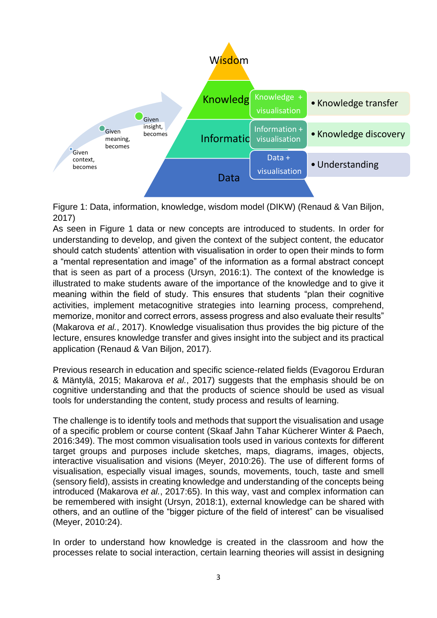

Figure 1: Data, information, knowledge, wisdom model (DIKW) [\(Renaud & Van Biljon,](#page-9-1)  [2017\)](#page-9-1)

As seen in Figure 1 data or new concepts are introduced to students. In order for understanding to develop, and given the context of the subject content, the educator should catch students' attention with visualisation in order to open their minds to form a "mental representation and image" of the information as a formal abstract concept that is seen as part of a process [\(Ursyn, 2016:1\)](#page-9-6). The context of the knowledge is illustrated to make students aware of the importance of the knowledge and to give it meaning within the field of study. This ensures that students "plan their cognitive activities, implement metacognitive strategies into learning process, comprehend, memorize, monitor and correct errors, assess progress and also evaluate their results" [\(Makarova](#page-9-4) *et al.*, 2017). Knowledge visualisation thus provides the big picture of the lecture, ensures knowledge transfer and gives insight into the subject and its practical application [\(Renaud & Van Biljon, 2017\)](#page-9-1).

Previous research in education and specific science-related fields [\(Evagorou Erduran](#page-8-2)  [& Mäntylä, 2015;](#page-8-2) [Makarova](#page-9-4) *et al.*, 2017) suggests that the emphasis should be on cognitive understanding and that the products of science should be used as visual tools for understanding the content, study process and results of learning.

The challenge is to identify tools and methods that support the visualisation and usage of a specific problem or course content [\(Skaaf Jahn Tahar Kücherer Winter & Paech,](#page-9-7)  [2016:349\)](#page-9-7). The most common visualisation tools used in various contexts for different target groups and purposes include sketches, maps, diagrams, images, objects, interactive visualisation and visions [\(Meyer, 2010:26\)](#page-9-3). The use of different forms of visualisation, especially visual images, sounds, movements, touch, taste and smell (sensory field), assists in creating knowledge and understanding of the concepts being introduced [\(Makarova](#page-9-4) *et al.*, 2017:65). In this way, vast and complex information can be remembered with insight [\(Ursyn, 2018:1\)](#page-8-3), external knowledge can be shared with others, and an outline of the "bigger picture of the field of interest" can be visualised [\(Meyer, 2010:24\)](#page-9-3).

In order to understand how knowledge is created in the classroom and how the processes relate to social interaction, certain learning theories will assist in designing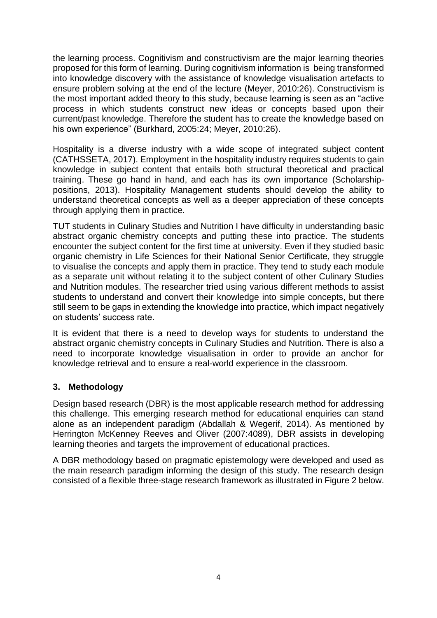the learning process. Cognitivism and constructivism are the major learning theories proposed for this form of learning. During cognitivism information is being transformed into knowledge discovery with the assistance of knowledge visualisation artefacts to ensure problem solving at the end of the lecture [\(Meyer, 2010:26\)](#page-9-3). Constructivism is the most important added theory to this study, because learning is seen as an "active process in which students construct new ideas or concepts based upon their current/past knowledge. Therefore the student has to create the knowledge based on his own experience" [\(Burkhard, 2005:24;](#page-8-4) [Meyer, 2010:26\)](#page-9-3).

Hospitality is a diverse industry with a wide scope of integrated subject content [\(CATHSSETA,](#page-8-5) 2017). Employment in the hospitality industry requires students to gain knowledge in subject content that entails both structural theoretical and practical training. These go hand in hand, and each has its own importance [\(Scholarship](#page-9-8)[positions, 2013\)](#page-9-8). Hospitality Management students should develop the ability to understand theoretical concepts as well as a deeper appreciation of these concepts through applying them in practice.

TUT students in Culinary Studies and Nutrition I have difficulty in understanding basic abstract organic chemistry concepts and putting these into practice. The students encounter the subject content for the first time at university. Even if they studied basic organic chemistry in Life Sciences for their National Senior Certificate, they struggle to visualise the concepts and apply them in practice. They tend to study each module as a separate unit without relating it to the subject content of other Culinary Studies and Nutrition modules. The researcher tried using various different methods to assist students to understand and convert their knowledge into simple concepts, but there still seem to be gaps in extending the knowledge into practice, which impact negatively on students' success rate.

It is evident that there is a need to develop ways for students to understand the abstract organic chemistry concepts in Culinary Studies and Nutrition. There is also a need to incorporate knowledge visualisation in order to provide an anchor for knowledge retrieval and to ensure a real-world experience in the classroom.

# **3. Methodology**

Design based research (DBR) is the most applicable research method for addressing this challenge. This emerging research method for educational enquiries can stand alone as an independent paradigm [\(Abdallah & Wegerif, 2014\)](#page-8-6). As mentioned by [Herrington McKenney Reeves and Oliver \(2007:4089\),](#page-8-7) DBR assists in developing learning theories and targets the improvement of educational practices.

A DBR methodology based on pragmatic epistemology were developed and used as the main research paradigm informing the design of this study. The research design consisted of a flexible three-stage research framework as illustrated in Figure 2 below.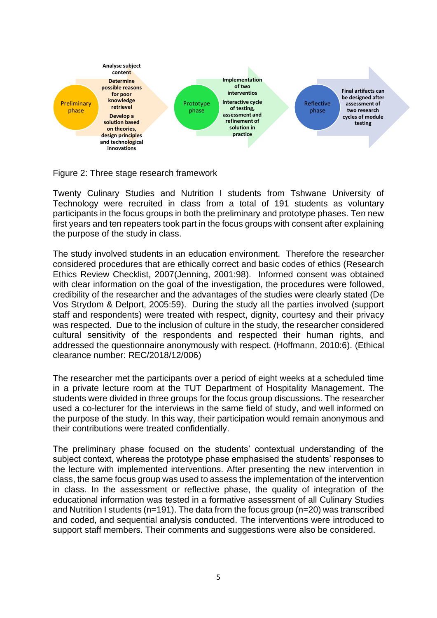

Figure 2: Three stage research framework

Twenty Culinary Studies and Nutrition I students from Tshwane University of Technology were recruited in class from a total of 191 students as voluntary participants in the focus groups in both the preliminary and prototype phases. Ten new first years and ten repeaters took part in the focus groups with consent after explaining the purpose of the study in class.

The study involved students in an education environment. Therefore the researcher considered procedures that are ethically correct and basic codes of ethics (Research Ethics Review Checklist, 2007[\(Jenning, 2001:98\)](#page-9-9). Informed consent was obtained with clear information on the goal of the investigation, the procedures were followed, credibility of the researcher and the advantages of the studies were clearly stated [\(De](#page-8-8)  [Vos Strydom & Delport, 2005:59\)](#page-8-8). During the study all the parties involved (support staff and respondents) were treated with respect, dignity, courtesy and their privacy was respected. Due to the inclusion of culture in the study, the researcher considered cultural sensitivity of the respondents and respected their human rights, and addressed the questionnaire anonymously with respect. [\(Hoffmann, 2010:6\)](#page-8-3). (Ethical clearance number: REC/2018/12/006)

The researcher met the participants over a period of eight weeks at a scheduled time in a private lecture room at the TUT Department of Hospitality Management. The students were divided in three groups for the focus group discussions. The researcher used a co-lecturer for the interviews in the same field of study, and well informed on the purpose of the study. In this way, their participation would remain anonymous and their contributions were treated confidentially.

The preliminary phase focused on the students' contextual understanding of the subject context, whereas the prototype phase emphasised the students' responses to the lecture with implemented interventions. After presenting the new intervention in class, the same focus group was used to assess the implementation of the intervention in class. In the assessment or reflective phase, the quality of integration of the educational information was tested in a formative assessment of all Culinary Studies and Nutrition I students (n=191). The data from the focus group (n=20) was transcribed and coded, and sequential analysis conducted. The interventions were introduced to support staff members. Their comments and suggestions were also be considered.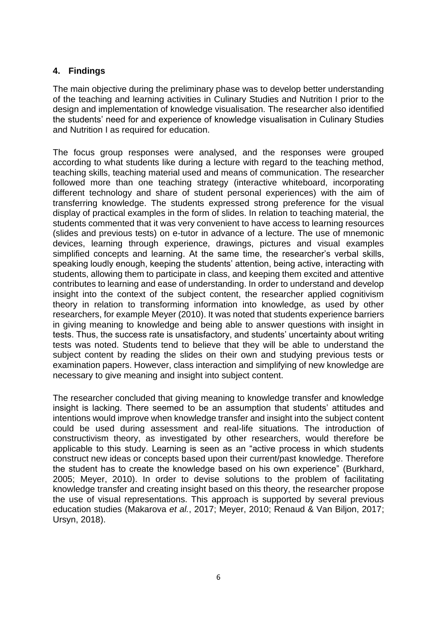# **4. Findings**

The main objective during the preliminary phase was to develop better understanding of the teaching and learning activities in Culinary Studies and Nutrition I prior to the design and implementation of knowledge visualisation. The researcher also identified the students' need for and experience of knowledge visualisation in Culinary Studies and Nutrition I as required for education.

The focus group responses were analysed, and the responses were grouped according to what students like during a lecture with regard to the teaching method, teaching skills, teaching material used and means of communication. The researcher followed more than one teaching strategy (interactive whiteboard, incorporating different technology and share of student personal experiences) with the aim of transferring knowledge. The students expressed strong preference for the visual display of practical examples in the form of slides. In relation to teaching material, the students commented that it was very convenient to have access to learning resources (slides and previous tests) on e-tutor in advance of a lecture. The use of mnemonic devices, learning through experience, drawings, pictures and visual examples simplified concepts and learning. At the same time, the researcher's verbal skills, speaking loudly enough, keeping the students' attention, being active, interacting with students, allowing them to participate in class, and keeping them excited and attentive contributes to learning and ease of understanding. In order to understand and develop insight into the context of the subject content, the researcher applied cognitivism theory in relation to transforming information into knowledge, as used by other researchers, for example [Meyer \(2010\).](#page-9-3) It was noted that students experience barriers in giving meaning to knowledge and being able to answer questions with insight in tests. Thus, the success rate is unsatisfactory, and students' uncertainty about writing tests was noted. Students tend to believe that they will be able to understand the subject content by reading the slides on their own and studying previous tests or examination papers. However, class interaction and simplifying of new knowledge are necessary to give meaning and insight into subject content.

The researcher concluded that giving meaning to knowledge transfer and knowledge insight is lacking. There seemed to be an assumption that students' attitudes and intentions would improve when knowledge transfer and insight into the subject content could be used during assessment and real-life situations. The introduction of constructivism theory, as investigated by other researchers, would therefore be applicable to this study. Learning is seen as an "active process in which students construct new ideas or concepts based upon their current/past knowledge. Therefore the student has to create the knowledge based on his own experience" [\(Burkhard,](#page-8-4)  [2005;](#page-8-4) [Meyer, 2010\)](#page-9-3). In order to devise solutions to the problem of facilitating knowledge transfer and creating insight based on this theory, the researcher propose the use of visual representations. This approach is supported by several previous education studies [\(Makarova](#page-9-4) *et al.*, 2017; [Meyer, 2010;](#page-9-3) [Renaud & Van Biljon, 2017;](#page-9-1) [Ursyn, 2018\)](#page-9-10).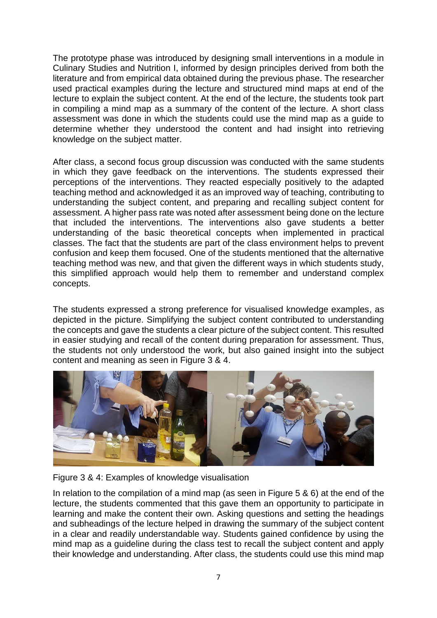The prototype phase was introduced by designing small interventions in a module in Culinary Studies and Nutrition I, informed by design principles derived from both the literature and from empirical data obtained during the previous phase. The researcher used practical examples during the lecture and structured mind maps at end of the lecture to explain the subject content. At the end of the lecture, the students took part in compiling a mind map as a summary of the content of the lecture. A short class assessment was done in which the students could use the mind map as a guide to determine whether they understood the content and had insight into retrieving knowledge on the subject matter.

After class, a second focus group discussion was conducted with the same students in which they gave feedback on the interventions. The students expressed their perceptions of the interventions. They reacted especially positively to the adapted teaching method and acknowledged it as an improved way of teaching, contributing to understanding the subject content, and preparing and recalling subject content for assessment. A higher pass rate was noted after assessment being done on the lecture that included the interventions. The interventions also gave students a better understanding of the basic theoretical concepts when implemented in practical classes. The fact that the students are part of the class environment helps to prevent confusion and keep them focused. One of the students mentioned that the alternative teaching method was new, and that given the different ways in which students study, this simplified approach would help them to remember and understand complex concepts.

The students expressed a strong preference for visualised knowledge examples, as depicted in the picture. Simplifying the subject content contributed to understanding the concepts and gave the students a clear picture of the subject content. This resulted in easier studying and recall of the content during preparation for assessment. Thus, the students not only understood the work, but also gained insight into the subject content and meaning as seen in Figure 3 & 4.



Figure 3 & 4: Examples of knowledge visualisation

In relation to the compilation of a mind map (as seen in Figure 5 & 6) at the end of the lecture, the students commented that this gave them an opportunity to participate in learning and make the content their own. Asking questions and setting the headings and subheadings of the lecture helped in drawing the summary of the subject content in a clear and readily understandable way. Students gained confidence by using the mind map as a guideline during the class test to recall the subject content and apply their knowledge and understanding. After class, the students could use this mind map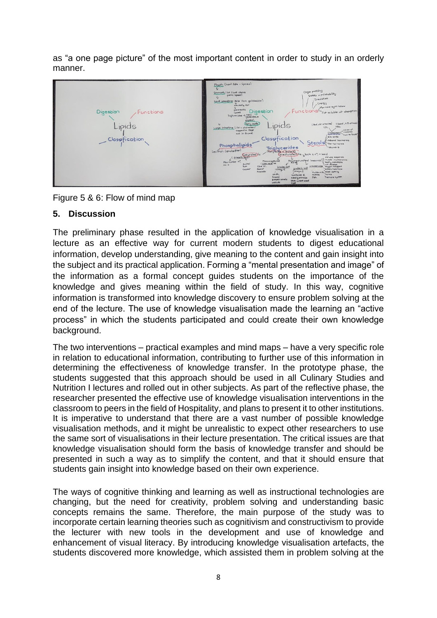as "a one page picture" of the most important content in order to study in an orderly manner.



Figure 5 & 6: Flow of mind map

# **5. Discussion**

The preliminary phase resulted in the application of knowledge visualisation in a lecture as an effective way for current modern students to digest educational information, develop understanding, give meaning to the content and gain insight into the subject and its practical application. Forming a "mental presentation and image" of the information as a formal concept guides students on the importance of the knowledge and gives meaning within the field of study. In this way, cognitive information is transformed into knowledge discovery to ensure problem solving at the end of the lecture. The use of knowledge visualisation made the learning an "active process" in which the students participated and could create their own knowledge background.

The two interventions – practical examples and mind maps – have a very specific role in relation to educational information, contributing to further use of this information in determining the effectiveness of knowledge transfer. In the prototype phase, the students suggested that this approach should be used in all Culinary Studies and Nutrition I lectures and rolled out in other subjects. As part of the reflective phase, the researcher presented the effective use of knowledge visualisation interventions in the classroom to peers in the field of Hospitality, and plans to present it to other institutions. It is imperative to understand that there are a vast number of possible knowledge visualisation methods, and it might be unrealistic to expect other researchers to use the same sort of visualisations in their lecture presentation. The critical issues are that knowledge visualisation should form the basis of knowledge transfer and should be presented in such a way as to simplify the content, and that it should ensure that students gain insight into knowledge based on their own experience.

The ways of cognitive thinking and learning as well as instructional technologies are changing, but the need for creativity, problem solving and understanding basic concepts remains the same. Therefore, the main purpose of the study was to incorporate certain learning theories such as cognitivism and constructivism to provide the lecturer with new tools in the development and use of knowledge and enhancement of visual literacy. By introducing knowledge visualisation artefacts, the students discovered more knowledge, which assisted them in problem solving at the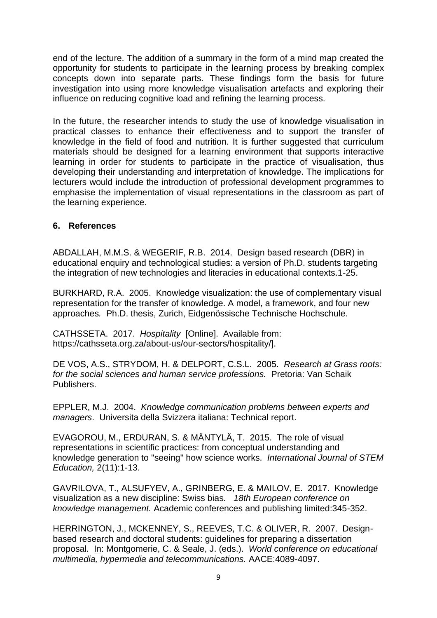end of the lecture. The addition of a summary in the form of a mind map created the opportunity for students to participate in the learning process by breaking complex concepts down into separate parts. These findings form the basis for future investigation into using more knowledge visualisation artefacts and exploring their influence on reducing cognitive load and refining the learning process.

In the future, the researcher intends to study the use of knowledge visualisation in practical classes to enhance their effectiveness and to support the transfer of knowledge in the field of food and nutrition. It is further suggested that curriculum materials should be designed for a learning environment that supports interactive learning in order for students to participate in the practice of visualisation, thus developing their understanding and interpretation of knowledge. The implications for lecturers would include the introduction of professional development programmes to emphasise the implementation of visual representations in the classroom as part of the learning experience.

#### **6. References**

<span id="page-8-6"></span>ABDALLAH, M.M.S. & WEGERIF, R.B. 2014. Design based research (DBR) in educational enquiry and technological studies: a version of Ph.D. students targeting the integration of new technologies and literacies in educational contexts.1-25.

<span id="page-8-4"></span>BURKHARD, R.A. 2005. Knowledge visualization: the use of complementary visual representation for the transfer of knowledge. A model, a framework, and four new approaches*.* Ph.D. thesis, Zurich, Eidgenössische Technische Hochschule.

<span id="page-8-5"></span>CATHSSETA. 2017. *Hospitality* [Online]. Available from: https://cathsseta.org.za/about-us/our-sectors/hospitality/].

<span id="page-8-8"></span>DE VOS, A.S., STRYDOM, H. & DELPORT, C.S.L. 2005. *Research at Grass roots: for the social sciences and human service professions.* Pretoria: Van Schaik Publishers.

<span id="page-8-1"></span>EPPLER, M.J. 2004. *Knowledge communication problems between experts and managers*. Universita della Svizzera italiana: Technical report.

<span id="page-8-2"></span>EVAGOROU, M., ERDURAN, S. & MÄNTYLÄ, T. 2015. The role of visual representations in scientific practices: from conceptual understanding and knowledge generation to "seeing" how science works. *International Journal of STEM Education,* 2(11):1-13.

<span id="page-8-0"></span>GAVRILOVA, T., ALSUFYEV, A., GRINBERG, E. & MAILOV, E. 2017. Knowledge visualization as a new discipline: Swiss bias*. 18th European conference on knowledge management.* Academic conferences and publishing limited:345-352.

<span id="page-8-7"></span><span id="page-8-3"></span>HERRINGTON, J., MCKENNEY, S., REEVES, T.C. & OLIVER, R. 2007. Designbased research and doctoral students: guidelines for preparing a dissertation proposal*.* In: Montgomerie, C. & Seale, J. (eds.). *World conference on educational multimedia, hypermedia and telecommunications.* AACE:4089-4097.